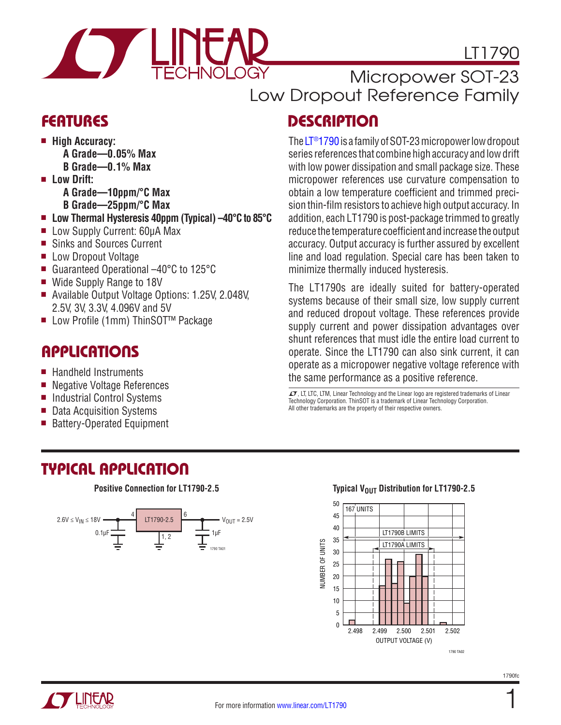

# LT1790

### Micropower SOT-23 Low Dropout Reference Family

# **DESCRIPTION**

The [LT®1790](http://www.linear.com/LT1790) is a family of SOT-23 micropower low dropout series references that combine high accuracy and low drift with low power dissipation and small package size. These micropower references use curvature compensation to obtain a low temperature coefficient and trimmed precision thin-film resistors to achieve high output accuracy. In addition, each LT1790 is post-package trimmed to greatly reduce the temperature coefficient and increase the output accuracy. Output accuracy is further assured by excellent line and load regulation. Special care has been taken to minimize thermally induced hysteresis.

The LT1790s are ideally suited for battery-operated systems because of their small size, low supply current and reduced dropout voltage. These references provide supply current and power dissipation advantages over shunt references that must idle the entire load current to operate. Since the LT1790 can also sink current, it can operate as a micropower negative voltage reference with the same performance as a positive reference.

 $I$ , LT, LTC, LTM, Linear Technology and the Linear logo are registered trademarks of Linear Technology Corporation. ThinSOT is a trademark of Linear Technology Corporation. All other trademarks are the property of their respective owners.

### **FEATURES**

- $\blacksquare$  **High Accuracy: A Grade—0.05% Max**
	- **B Grade—0.1% Max**
- **n** Low Drift:
	- **A Grade—10ppm/°C Max**
	- **B Grade—25ppm/°C Max**
- Low Thermal Hysteresis 40ppm (Typical) –40°C to 85°C
- Low Supply Current: 60µA Max
- Sinks and Sources Current
- **Low Dropout Voltage**
- Guaranteed Operational –40°C to 125°C
- Wide Supply Range to 18V
- Available Output Voltage Options: 1.25V, 2.048V, 2.5V, 3V, 3.3V, 4.096V and 5V
- Low Profile (1mm) ThinSOT<sup>™</sup> Package

# **APPLICATIONS**

- $\blacksquare$  Handheld Instruments
- Negative Voltage References
- Industrial Control Systems
- Data Acquisition Systems
- Battery-Operated Equipment

### TYPICAL APPLICATION



#### **Positive Connection for LT1790-2.5 Distribution for LT1790-2.5 Distribution for LT1790-2.5**



1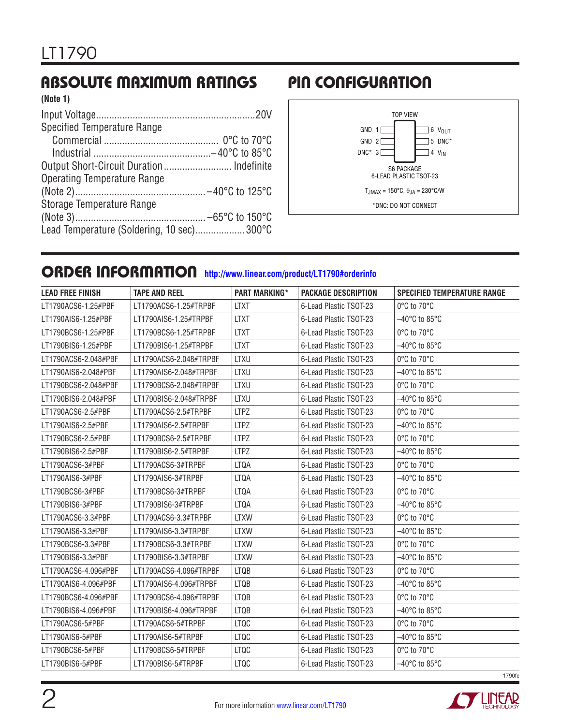#### ABSOLUTE MAXIMUM RATINGS PIN CONFIGURATION **(Note 1)**

| (NOTE 1)                                   |  |
|--------------------------------------------|--|
|                                            |  |
| <b>Specified Temperature Range</b>         |  |
|                                            |  |
|                                            |  |
|                                            |  |
| <b>Operating Temperature Range</b>         |  |
|                                            |  |
| Storage Temperature Range                  |  |
|                                            |  |
| Lead Temperature (Soldering, 10 sec) 300°C |  |
|                                            |  |



# ORDER INFORMATION **<http://www.linear.com/product/LT1790#orderinfo>**

| <b>LEAD FREE FINISH</b> | <b>TAPE AND REEL</b>   | <b>PART MARKING*</b> | <b>PACKAGE DESCRIPTION</b> | <b>SPECIFIED TEMPERATURE RANGE</b> |
|-------------------------|------------------------|----------------------|----------------------------|------------------------------------|
| LT1790ACS6-1.25#PBF     | LT1790ACS6-1.25#TRPBF  | <b>LTXT</b>          | 6-Lead Plastic TSOT-23     | 0°C to 70°C                        |
| LT1790AIS6-1.25#PBF     | LT1790AIS6-1.25#TRPBF  | <b>LTXT</b>          | 6-Lead Plastic TSOT-23     | $-40^{\circ}$ C to 85 $^{\circ}$ C |
| LT1790BCS6-1.25#PBF     | LT1790BCS6-1.25#TRPBF  | <b>LTXT</b>          | 6-Lead Plastic TSOT-23     | 0°C to 70°C                        |
| LT1790BIS6-1.25#PBF     | LT1790BIS6-1.25#TRPBF  | <b>LTXT</b>          | 6-Lead Plastic TSOT-23     | $-40^{\circ}$ C to 85 $^{\circ}$ C |
| LT1790ACS6-2.048#PBF    | LT1790ACS6-2.048#TRPBF | <b>LTXU</b>          | 6-Lead Plastic TSOT-23     | 0°C to 70°C                        |
| LT1790AIS6-2.048#PBF    | LT1790AIS6-2.048#TRPBF | <b>LTXU</b>          | 6-Lead Plastic TSOT-23     | $-40^{\circ}$ C to 85 $^{\circ}$ C |
| LT1790BCS6-2.048#PBF    | LT1790BCS6-2.048#TRPBF | <b>LTXU</b>          | 6-Lead Plastic TSOT-23     | 0°C to 70°C                        |
| LT1790BIS6-2.048#PBF    | LT1790BIS6-2.048#TRPBF | <b>LTXU</b>          | 6-Lead Plastic TSOT-23     | $-40^{\circ}$ C to 85°C            |
| LT1790ACS6-2.5#PBF      | LT1790ACS6-2.5#TRPBF   | <b>LTPZ</b>          | 6-Lead Plastic TSOT-23     | 0°C to 70°C                        |
| LT1790AIS6-2.5#PBF      | LT1790AIS6-2.5#TRPBF   | <b>LTPZ</b>          | 6-Lead Plastic TSOT-23     | $-40^{\circ}$ C to 85 $^{\circ}$ C |
| LT1790BCS6-2.5#PBF      | LT1790BCS6-2.5#TRPBF   | <b>LTPZ</b>          | 6-Lead Plastic TSOT-23     | 0°C to 70°C                        |
| LT1790BIS6-2.5#PBF      | LT1790BIS6-2.5#TRPBF   | <b>LTPZ</b>          | 6-Lead Plastic TSOT-23     | $-40^{\circ}$ C to 85 $^{\circ}$ C |
| LT1790ACS6-3#PBF        | LT1790ACS6-3#TRPBF     | <b>LTQA</b>          | 6-Lead Plastic TSOT-23     | 0°C to 70°C                        |
| LT1790AIS6-3#PBF        | LT1790AIS6-3#TRPBF     | LTQA                 | 6-Lead Plastic TSOT-23     | $-40^{\circ}$ C to 85 $^{\circ}$ C |
| LT1790BCS6-3#PBF        | LT1790BCS6-3#TRPBF     | <b>LTQA</b>          | 6-Lead Plastic TSOT-23     | 0°C to 70°C                        |
| LT1790BIS6-3#PBF        | LT1790BIS6-3#TRPBF     | <b>LTQA</b>          | 6-Lead Plastic TSOT-23     | $-40^{\circ}$ C to 85 $^{\circ}$ C |
| LT1790ACS6-3.3#PBF      | LT1790ACS6-3.3#TRPBF   | <b>LTXW</b>          | 6-Lead Plastic TSOT-23     | 0°C to 70°C                        |
| LT1790AIS6-3.3#PBF      | LT1790AIS6-3.3#TRPBF   | <b>LTXW</b>          | 6-Lead Plastic TSOT-23     | $-40^{\circ}$ C to 85 $^{\circ}$ C |
| LT1790BCS6-3.3#PBF      | LT1790BCS6-3.3#TRPBF   | <b>LTXW</b>          | 6-Lead Plastic TSOT-23     | 0°C to 70°C                        |
| LT1790BIS6-3.3#PBF      | LT1790BIS6-3.3#TRPBF   | <b>LTXW</b>          | 6-Lead Plastic TSOT-23     | $-40^{\circ}$ C to 85 $^{\circ}$ C |
| LT1790ACS6-4.096#PBF    | LT1790ACS6-4.096#TRPBF | <b>LTQB</b>          | 6-Lead Plastic TSOT-23     | 0°C to 70°C                        |
| LT1790AIS6-4.096#PBF    | LT1790AIS6-4.096#TRPBF | <b>LTQB</b>          | 6-Lead Plastic TSOT-23     | $-40^{\circ}$ C to 85 $^{\circ}$ C |
| LT1790BCS6-4.096#PBF    | LT1790BCS6-4.096#TRPBF | <b>LTQB</b>          | 6-Lead Plastic TSOT-23     | 0°C to 70°C                        |
| LT1790BIS6-4.096#PBF    | LT1790BIS6-4.096#TRPBF | <b>LTQB</b>          | 6-Lead Plastic TSOT-23     | $-40^{\circ}$ C to 85°C            |
| LT1790ACS6-5#PBF        | LT1790ACS6-5#TRPBF     | <b>LTQC</b>          | 6-Lead Plastic TSOT-23     | 0°C to 70°C                        |
| LT1790AIS6-5#PBF        | LT1790AIS6-5#TRPBF     | <b>LTQC</b>          | 6-Lead Plastic TSOT-23     | -40°C to 85°C                      |
| LT1790BCS6-5#PBF        | LT1790BCS6-5#TRPBF     | LTQC                 | 6-Lead Plastic TSOT-23     | 0°C to 70°C                        |
| LT1790BIS6-5#PBF        | LT1790BIS6-5#TRPBF     | <b>LTQC</b>          | 6-Lead Plastic TSOT-23     | $-40^{\circ}$ C to 85 $^{\circ}$ C |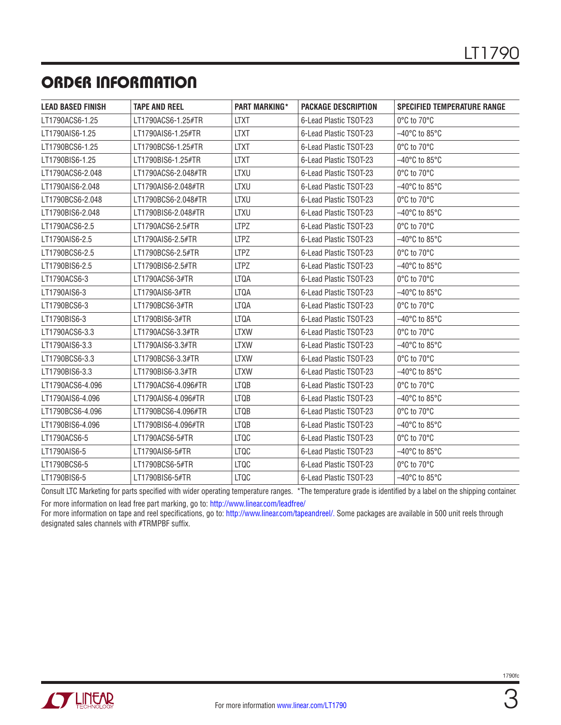# ORDER INFORMATION

| <b>LEAD BASED FINISH</b> | <b>TAPE AND REEL</b> | <b>PART MARKING*</b> | <b>PACKAGE DESCRIPTION</b> | <b>SPECIFIED TEMPERATURE RANGE</b> |
|--------------------------|----------------------|----------------------|----------------------------|------------------------------------|
| LT1790ACS6-1.25          | LT1790ACS6-1.25#TR   | <b>LTXT</b>          | 6-Lead Plastic TSOT-23     | 0°C to 70°C                        |
| LT1790AIS6-1.25          | LT1790AIS6-1.25#TR   | <b>LTXT</b>          | 6-Lead Plastic TSOT-23     | $-40^{\circ}$ C to 85°C            |
| LT1790BCS6-1.25          | LT1790BCS6-1.25#TR   | <b>LTXT</b>          | 6-Lead Plastic TSOT-23     | 0°C to 70°C                        |
| LT1790BIS6-1.25          | LT1790BIS6-1.25#TR   | <b>LTXT</b>          | 6-Lead Plastic TSOT-23     | $-40^{\circ}$ C to 85°C            |
| LT1790ACS6-2.048         | LT1790ACS6-2.048#TR  | <b>LTXU</b>          | 6-Lead Plastic TSOT-23     | 0°C to 70°C                        |
| LT1790AIS6-2.048         | LT1790AIS6-2.048#TR  | <b>LTXU</b>          | 6-Lead Plastic TSOT-23     | –40°C to 85°C                      |
| LT1790BCS6-2.048         | LT1790BCS6-2.048#TR  | LTXU                 | 6-Lead Plastic TSOT-23     | 0°C to 70°C                        |
| LT1790BIS6-2.048         | LT1790BIS6-2.048#TR  | LTXU                 | 6-Lead Plastic TSOT-23     | $-40^{\circ}$ C to 85°C            |
| LT1790ACS6-2.5           | LT1790ACS6-2.5#TR    | <b>LTPZ</b>          | 6-Lead Plastic TSOT-23     | 0°C to 70°C                        |
| LT1790AIS6-2.5           | LT1790AIS6-2.5#TR    | <b>LTPZ</b>          | 6-Lead Plastic TSOT-23     | $-40^{\circ}$ C to 85°C            |
| LT1790BCS6-2.5           | LT1790BCS6-2.5#TR    | <b>LTPZ</b>          | 6-Lead Plastic TSOT-23     | 0°C to 70°C                        |
| LT1790BIS6-2.5           | LT1790BIS6-2.5#TR    | <b>LTPZ</b>          | 6-Lead Plastic TSOT-23     | $-40^{\circ}$ C to 85 $^{\circ}$ C |
| LT1790ACS6-3             | LT1790ACS6-3#TR      | <b>LTQA</b>          | 6-Lead Plastic TSOT-23     | 0°C to 70°C                        |
| LT1790AIS6-3             | LT1790AIS6-3#TR      | <b>LTQA</b>          | 6-Lead Plastic TSOT-23     | $-40^{\circ}$ C to 85°C            |
| LT1790BCS6-3             | LT1790BCS6-3#TR      | <b>LTQA</b>          | 6-Lead Plastic TSOT-23     | 0°C to 70°C                        |
| LT1790BIS6-3             | LT1790BIS6-3#TR      | <b>LTQA</b>          | 6-Lead Plastic TSOT-23     | $-40^{\circ}$ C to 85 $^{\circ}$ C |
| LT1790ACS6-3.3           | LT1790ACS6-3.3#TR    | <b>LTXW</b>          | 6-Lead Plastic TSOT-23     | 0°C to 70°C                        |
| LT1790AIS6-3.3           | LT1790AIS6-3.3#TR    | <b>LTXW</b>          | 6-Lead Plastic TSOT-23     | $-40^{\circ}$ C to 85 $^{\circ}$ C |
| LT1790BCS6-3.3           | LT1790BCS6-3.3#TR    | <b>LTXW</b>          | 6-Lead Plastic TSOT-23     | 0°C to 70°C                        |
| LT1790BIS6-3.3           | LT1790BIS6-3.3#TR    | <b>LTXW</b>          | 6-Lead Plastic TSOT-23     | –40°C to 85°C                      |
| LT1790ACS6-4.096         | LT1790ACS6-4.096#TR  | <b>LTQB</b>          | 6-Lead Plastic TSOT-23     | 0°C to 70°C                        |
| LT1790AIS6-4.096         | LT1790AIS6-4.096#TR  | <b>LTQB</b>          | 6-Lead Plastic TSOT-23     | $-40^{\circ}$ C to 85°C            |
| LT1790BCS6-4.096         | LT1790BCS6-4.096#TR  | <b>LTQB</b>          | 6-Lead Plastic TSOT-23     | 0°C to 70°C                        |
| LT1790BIS6-4.096         | LT1790BIS6-4.096#TR  | LTQB                 | 6-Lead Plastic TSOT-23     | $-40^{\circ}$ C to 85 $^{\circ}$ C |
| LT1790ACS6-5             | LT1790ACS6-5#TR      | <b>LTQC</b>          | 6-Lead Plastic TSOT-23     | 0°C to 70°C                        |
| LT1790AIS6-5             | LT1790AIS6-5#TR      | <b>LTQC</b>          | 6-Lead Plastic TSOT-23     | $-40^{\circ}$ C to 85°C            |
| LT1790BCS6-5             | LT1790BCS6-5#TR      | LTQC                 | 6-Lead Plastic TSOT-23     | 0°C to 70°C                        |
| LT1790BIS6-5             | LT1790BIS6-5#TR      | <b>LTQC</b>          | 6-Lead Plastic TSOT-23     | $-40^{\circ}$ C to 85 $^{\circ}$ C |

Consult LTC Marketing for parts specified with wider operating temperature ranges. \*The temperature grade is identified by a label on the shipping container. For more information on lead free part marking, go to: <http://www.linear.com/leadfree/>

For more information on tape and reel specifications, go to: <http://www.linear.com/tapeandreel/>. Some packages are available in 500 unit reels through designated sales channels with #TRMPBF suffix.

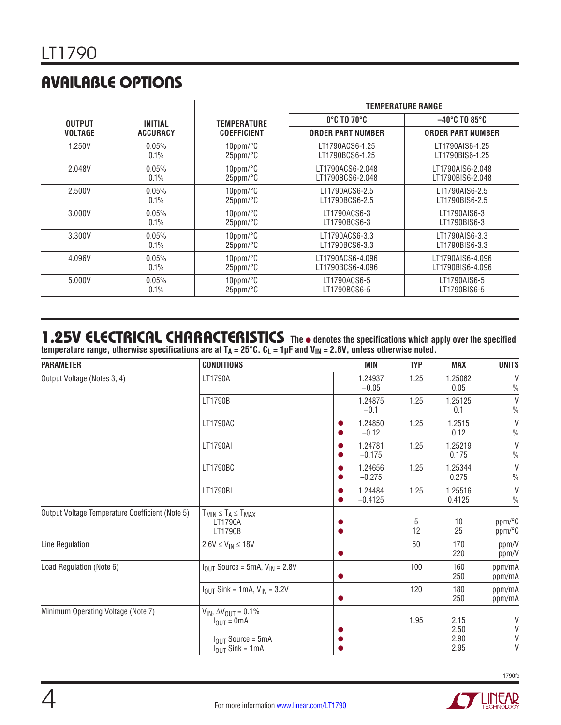# AVAILABLE OPTIONS

|                |                |                       |                              | <b>TEMPERATURE RANGE</b>           |
|----------------|----------------|-----------------------|------------------------------|------------------------------------|
| <b>OUTPUT</b>  | <b>INITIAL</b> | TEMPERATURE           | $0^\circ$ c to 70 $^\circ$ c | $-40^{\circ}$ C TO 85 $^{\circ}$ C |
| <b>VOLTAGE</b> | ACCURACY       | <b>COEFFICIENT</b>    | <b>ORDER PART NUMBER</b>     | <b>ORDER PART NUMBER</b>           |
| 1.250V         | 0.05%          | $10$ ppm/ $\degree$ C | LT1790ACS6-1.25              | LT1790AIS6-1.25                    |
|                | 0.1%           | $25$ ppm/ $\degree$ C | LT1790BCS6-1.25              | LT1790BIS6-1.25                    |
| 2.048V         | 0.05%          | $10$ ppm/ $\degree$ C | LT1790ACS6-2.048             | LT1790AIS6-2.048                   |
|                | 0.1%           | $25$ ppm/ $\degree$ C | LT1790BCS6-2.048             | LT1790BIS6-2.048                   |
| 2.500V         | $0.05\%$       | $10$ ppm/ $\degree$ C | LT1790ACS6-2.5               | LT1790AIS6-2.5                     |
|                | 0.1%           | $25$ ppm/ $\degree$ C | LT1790BCS6-2.5               | LT1790BIS6-2.5                     |
| 3.000V         | 0.05%          | $10$ ppm/ $\degree$ C | LT1790ACS6-3                 | LT1790AIS6-3                       |
|                | 0.1%           | $25$ ppm/ $\degree$ C | LT1790BCS6-3                 | LT1790BIS6-3                       |
| 3.300V         | 0.05%          | $10$ ppm/ $\degree$ C | LT1790ACS6-3.3               | LT1790AIS6-3.3                     |
|                | 0.1%           | $25$ ppm/ $\degree$ C | LT1790BCS6-3.3               | LT1790BIS6-3.3                     |
| 4.096V         | 0.05%          | $10$ ppm/ $\degree$ C | LT1790ACS6-4.096             | LT1790AIS6-4.096                   |
|                | 0.1%           | $25$ ppm/ $\degree$ C | LT1790BCS6-4.096             | LT1790BIS6-4.096                   |
| 5.000V         | 0.05%          | $10$ ppm/ $\degree$ C | LT1790ACS6-5                 | LT1790AIS6-5                       |
|                | 0.1%           | $25$ ppm/ $\degree$ C | LT1790BCS6-5                 | LT1790BIS6-5                       |

#### 1.25V ELECTRICAL CHARACTERISTICS The  $\bullet$  denotes the specifications which apply over the specified **temperature range, otherwise specifications are at TA = 25°C. CL = 1µF and VIN = 2.6V, unless otherwise noted.**

| <b>CONDITIONS</b>                                                                               | MIN                  | <b>TYP</b> | <b>MAX</b>           | <b>UNITS</b>                    |
|-------------------------------------------------------------------------------------------------|----------------------|------------|----------------------|---------------------------------|
| LT1790A                                                                                         | 1.24937<br>$-0.05$   | 1.25       | 1.25062<br>0.05      | V<br>$\frac{0}{0}$              |
| LT1790B                                                                                         | 1.24875<br>$-0.1$    | 1.25       | 1.25125<br>0.1       | $\vee$<br>$\frac{0}{0}$         |
| LT1790AC                                                                                        | 1.24850<br>$-0.12$   | 1.25       | 1.2515<br>0.12       | $\vee$<br>$\frac{0}{0}$         |
| <b>LT1790AI</b>                                                                                 | 1.24781<br>$-0.175$  | 1.25       | 1.25219<br>0.175     | $\vee$<br>$\frac{0}{0}$         |
| LT1790BC                                                                                        | 1.24656<br>$-0.275$  | 1.25       | 1.25344<br>0.275     | $\vee$<br>$\frac{0}{0}$         |
| LT1790BI                                                                                        | 1.24484<br>$-0.4125$ | 1.25       | 1.25516<br>0.4125    | $\vee$<br>$\%$                  |
| $T_{MIN} \leq T_A \leq T_{MAX}$<br>LT1790A<br>LT1790B                                           |                      | 5<br>12    | 10<br>25             | ppm/°C<br>ppm/°C                |
| $2.6V \le V_{IN} \le 18V$                                                                       |                      | 50         | 170<br>220           | ppm/V<br>ppm/V                  |
| $IOUT Source = 5mA, VIN = 2.8V$                                                                 |                      | 100        | 160<br>250           | ppm/mA<br>ppm/mA                |
| $I_{OUT}$ Sink = 1mA, $V_{IN}$ = 3.2V                                                           |                      | 120        | 180<br>250           | ppm/mA<br>ppm/mA                |
| $V_{IN}$ , $\Delta V_{OUT} = 0.1\%$<br>$I_{\text{OUT}} = 0 \text{mA}$<br>$I_{OUT}$ Source = 5mA |                      | 1.95       | 2.15<br>2.50<br>2.90 | V<br>$\vee$<br>$\vee$<br>$\vee$ |
|                                                                                                 |                      |            |                      | 2.95<br>$I_{OUT}$ Sink = 1mA    |

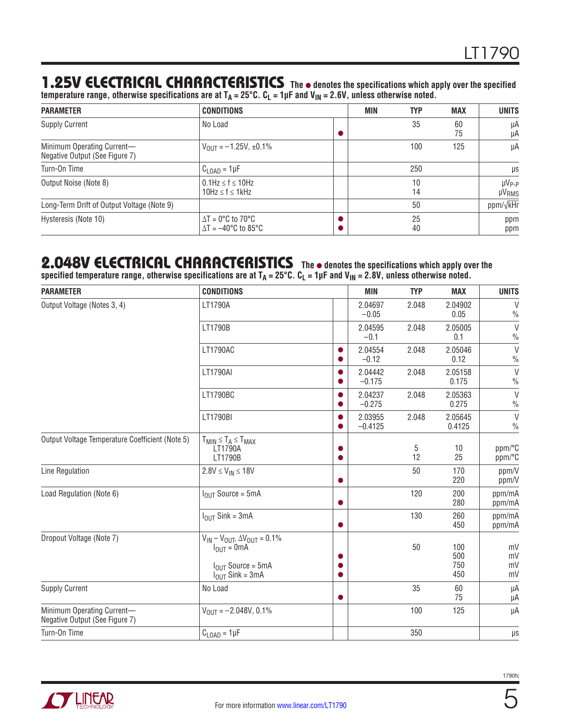#### 1.25V ELECTRICAL CHARACTERISTICS The  $\bullet$  denotes the specifications which apply over the specified

**temperature range, otherwise specifications are at TA = 25°C. CL = 1µF and VIN = 2.6V, unless otherwise noted.**

| <b>CONDITIONS</b><br><b>PARAMETER</b>                        |                                                                                   | MIN | <b>TYP</b> | <b>MAX</b> | <b>UNITS</b>                       |
|--------------------------------------------------------------|-----------------------------------------------------------------------------------|-----|------------|------------|------------------------------------|
| <b>Supply Current</b>                                        | No Load                                                                           |     | 35         | 60<br>75   | μA<br>μA                           |
| Minimum Operating Current-<br>Negative Output (See Figure 7) | $V_{\text{OUT}} = -1.25V, \pm 0.1\%$                                              |     | 100        | 125        | μA                                 |
| Turn-On Time                                                 | $C_{\text{LOAD}} = 1 \mu F$                                                       |     | 250        |            | μs                                 |
| Output Noise (Note 8)                                        | $0.1$ Hz $\leq$ f $\leq$ 10Hz<br>10Hz $\leq$ f $\leq$ 1kHz                        |     | 10<br>14   |            | $\mu V_{P-P}$<br>µV <sub>RMS</sub> |
| Long-Term Drift of Output Voltage (Note 9)                   |                                                                                   |     | 50         |            | ppm/ $\sqrt{k}$ Hr                 |
| Hysteresis (Note 10)                                         | $\Delta T = 0^{\circ}C$ to 70 °C<br>$\Delta T = -40^{\circ}$ C to 85 $^{\circ}$ C |     | 25<br>40   |            | ppm<br>ppm                         |

#### **2.048V ELECTRICAL CHARACTERISTICS** The  $\bullet$  denotes the specifications which apply over the **specified temperature range, otherwise specifications are at TA = 25°C. CL = 1µF and VIN = 2.8V, unless otherwise noted.**

| <b>PARAMETER</b>                                             | <b>CONDITIONS</b>                                                                                                | <b>MIN</b>           | <b>TYP</b> | <b>MAX</b>               | <b>UNITS</b>            |
|--------------------------------------------------------------|------------------------------------------------------------------------------------------------------------------|----------------------|------------|--------------------------|-------------------------|
| Output Voltage (Notes 3, 4)                                  | LT1790A                                                                                                          | 2.04697<br>$-0.05$   | 2.048      | 2.04902<br>0.05          | V<br>$\frac{0}{0}$      |
|                                                              | LT1790B                                                                                                          | 2.04595<br>$-0.1$    | 2.048      | 2.05005<br>0.1           | $\vee$<br>$\frac{0}{0}$ |
|                                                              | LT1790AC                                                                                                         | 2.04554<br>$-0.12$   | 2.048      | 2.05046<br>0.12          | $\vee$<br>$\frac{0}{0}$ |
|                                                              | <b>LT1790AI</b>                                                                                                  | 2.04442<br>$-0.175$  | 2.048      | 2.05158<br>0.175         | $\vee$<br>$\frac{0}{0}$ |
|                                                              | LT1790BC                                                                                                         | 2.04237<br>$-0.275$  | 2.048      | 2.05363<br>0.275         | $\vee$<br>$\frac{0}{0}$ |
|                                                              | LT1790BI                                                                                                         | 2.03955<br>$-0.4125$ | 2.048      | 2.05645<br>0.4125        | $\vee$<br>$\frac{0}{0}$ |
| Output Voltage Temperature Coefficient (Note 5)              | $T_{MIN} \leq T_A \leq T_{MAX}$<br>LT1790A<br>LT1790B                                                            |                      | 5<br>12    | 10<br>25                 | ppm/°C<br>ppm/°C        |
| Line Regulation                                              | $2.8V \le V_{IN} \le 18V$                                                                                        |                      | 50         | 170<br>220               | ppm/V<br>ppm/V          |
| Load Regulation (Note 6)                                     | $IOIII Source = 5mA$                                                                                             |                      | 120        | 200<br>280               | ppm/mA<br>ppm/mA        |
|                                                              | $I_{OIII}$ Sink = 3mA                                                                                            |                      | 130        | 260<br>450               | ppm/mA<br>ppm/mA        |
| Dropout Voltage (Note 7)                                     | $V_{IN} - V_{OUT}$ , $\Delta V_{OUT} = 0.1\%$<br>$I_{OUT} = 0mA$<br>$IOIII Source = 5mA$<br>$I_{OUT}$ Sink = 3mA |                      | 50         | 100<br>500<br>750<br>450 | mV<br>mV<br>mV<br>mV    |
| <b>Supply Current</b>                                        | No Load                                                                                                          |                      | 35         | 60<br>75                 | μA<br>μA                |
| Minimum Operating Current-<br>Negative Output (See Figure 7) | $V_{OIII} = -2.048V, 0.1\%$                                                                                      |                      | 100        | 125                      | μA                      |
| Turn-On Time                                                 | $C_{\text{LOAD}} = 1 \mu F$                                                                                      |                      | 350        |                          | $\mu s$                 |

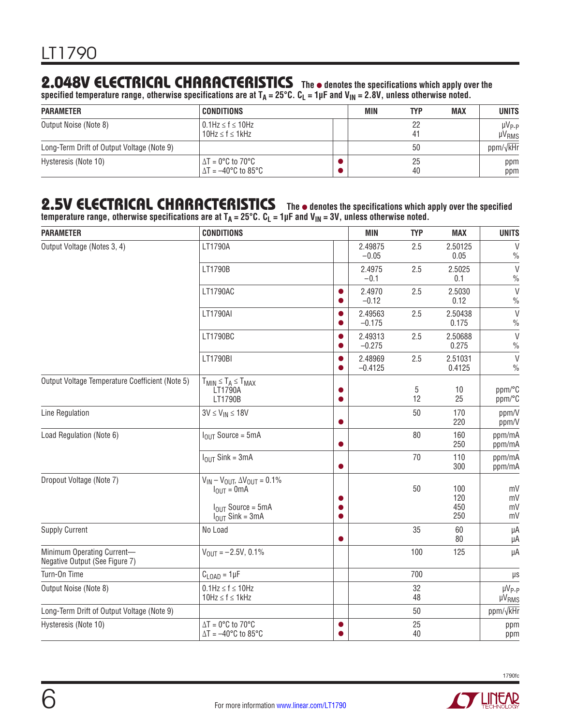### **2.048V ELECTRICAL CHARACTERISTICS** The  $\bullet$  denotes the specifications which apply over the

**specified temperature range, otherwise specifications are at TA = 25°C. CL = 1µF and VIN = 2.8V, unless otherwise noted.**

| <b>PARAMETER</b>                           | <b>CONDITIONS</b>                                                                              | MIN | <b>TYP</b> | <b>MAX</b> | <b>UNITS</b>                  |
|--------------------------------------------|------------------------------------------------------------------------------------------------|-----|------------|------------|-------------------------------|
| Output Noise (Note 8)                      | $0.1$ Hz $\leq$ f $\leq$ 10Hz<br>$10Hz \le f \le 1kHz$                                         |     | -22<br>41  |            | $\mu V_{P-P}$<br><b>µVRMS</b> |
| Long-Term Drift of Output Voltage (Note 9) |                                                                                                |     | 50         |            | ppm/ $\sqrt{kHr}$             |
| Hysteresis (Note 10)                       | $\Delta T = 0^{\circ}$ C to 70 $^{\circ}$ C<br>$^{\circ}$ $\Delta$ T = $-40^{\circ}$ C to 85°C |     | 25<br>40   |            | ppm<br>ppm                    |

#### 2.5V ELECTRICAL CHARACTERISTICS The  $\bullet$  denotes the specifications which apply over the specified

temperature range, otherwise specifications are at T<sub>A</sub> = 25°C. C<sub>L</sub> = 1µF and V<sub>IN</sub> = 3V, unless otherwise noted.

| <b>PARAMETER</b>                                             | <b>CONDITIONS</b>                                                                                                                        | <b>MIN</b>           | <b>TYP</b> | <b>MAX</b>               | <b>UNITS</b>                  |
|--------------------------------------------------------------|------------------------------------------------------------------------------------------------------------------------------------------|----------------------|------------|--------------------------|-------------------------------|
| Output Voltage (Notes 3, 4)                                  | LT1790A                                                                                                                                  | 2.49875<br>$-0.05$   | 2.5        | 2.50125<br>0.05          | $\vee$<br>$\frac{0}{0}$       |
|                                                              | LT1790B                                                                                                                                  | 2.4975<br>$-0.1$     | 2.5        | 2.5025<br>0.1            | $\vee$<br>$\frac{0}{0}$       |
|                                                              | LT1790AC                                                                                                                                 | 2.4970<br>$-0.12$    | 2.5        | 2.5030<br>0.12           | $\vee$<br>$\frac{0}{0}$       |
|                                                              | LT1790AI                                                                                                                                 | 2.49563<br>$-0.175$  | 2.5        | 2.50438<br>0.175         | $\vee$<br>$\frac{0}{0}$       |
|                                                              | LT1790BC                                                                                                                                 | 2.49313<br>$-0.275$  | 2.5        | 2.50688<br>0.275         | $\vee$<br>$\frac{0}{0}$       |
|                                                              | LT1790BI                                                                                                                                 | 2.48969<br>$-0.4125$ | 2.5        | 2.51031<br>0.4125        | $\vee$<br>$\frac{0}{0}$       |
| Output Voltage Temperature Coefficient (Note 5)              | $T_{MIN} \leq T_A \leq T_{MAX}$<br>LT1790A<br>LT1790B                                                                                    |                      | 5<br>12    | 10<br>25                 | ppm/°C<br>ppm/°C              |
| Line Regulation                                              | $3V \leq V_{IN} \leq 18V$                                                                                                                |                      | 50         | 170<br>220               | ppm/V<br>ppm/V                |
| Load Regulation (Note 6)                                     | $IOIII Source = 5mA$                                                                                                                     |                      | 80         | 160<br>250               | ppm/mA<br>ppm/mA              |
|                                                              | $I_{OUT}$ Sink = 3mA                                                                                                                     |                      | 70         | 110<br>300               | ppm/mA<br>ppm/mA              |
| Dropout Voltage (Note 7)                                     | $V_{IN} - V_{OUT}$ , $\Delta V_{OUT} = 0.1\%$<br>$I_{\text{OUT}} = 0 \text{mA}$<br>$I_{OUT}$ Source = 5mA<br>$I_{\text{OUT}}$ Sink = 3mA |                      | 50         | 100<br>120<br>450<br>250 | mV<br>mV<br>mV<br>mV          |
| <b>Supply Current</b>                                        | No Load                                                                                                                                  |                      | 35         | 60<br>80                 | μA<br>μA                      |
| Minimum Operating Current-<br>Negative Output (See Figure 7) | $V_{OUT} = -2.5V, 0.1%$                                                                                                                  |                      | 100        | 125                      | μA                            |
| Turn-On Time                                                 | $C_{\text{LOAD}} = 1 \mu F$                                                                                                              |                      | 700        |                          | $\mu s$                       |
| Output Noise (Note 8)                                        | $0.1$ Hz $\leq$ f $\leq$ 10Hz<br>$10Hz \le f \le 1kHz$                                                                                   |                      | 32<br>48   |                          | $\mu V_{P-P}$<br><b>µVRMS</b> |
| Long-Term Drift of Output Voltage (Note 9)                   |                                                                                                                                          |                      | 50         |                          | ppm/ $\sqrt{kHF}$             |
| Hysteresis (Note 10)                                         | $\Delta T = 0$ °C to 70°C<br>$\Delta T = -40^{\circ}$ C to 85°C                                                                          |                      | 25<br>40   |                          | ppm<br>ppm                    |



**STATE AREA**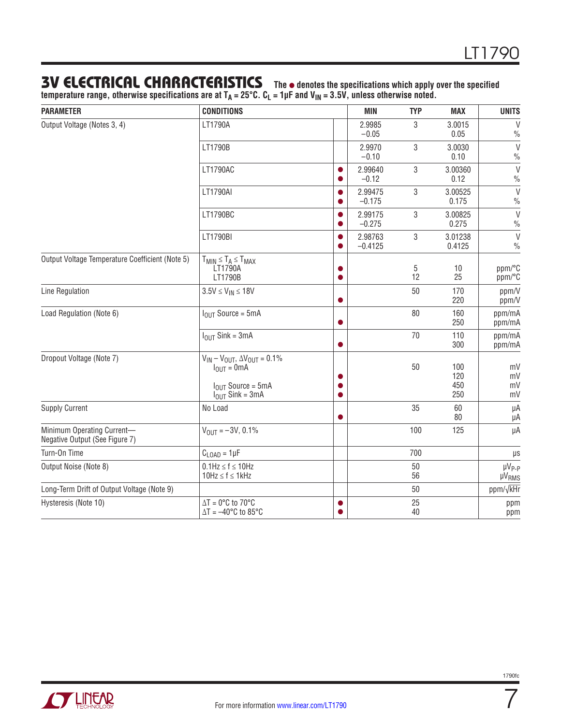#### **3V ELECTRICAL CHARACTERISTICS** The  $\bullet$  denotes the specifications which apply over the specified

**temperature range, otherwise specifications are at TA = 25°C. CL = 1µF and VIN = 3.5V, unless otherwise noted.**

| <b>PARAMETER</b>                                             | <b>CONDITIONS</b>                                                                                                       |   | <b>MIN</b>           | <b>TYP</b> | MAX                      | <b>UNITS</b>                      |
|--------------------------------------------------------------|-------------------------------------------------------------------------------------------------------------------------|---|----------------------|------------|--------------------------|-----------------------------------|
| Output Voltage (Notes 3, 4)                                  | LT1790A                                                                                                                 |   | 2.9985<br>$-0.05$    | 3          | 3.0015<br>0.05           | $\vee$<br>$\frac{0}{0}$           |
|                                                              | LT1790B                                                                                                                 |   | 2.9970<br>$-0.10$    | 3          | 3.0030<br>0.10           | $\vee$<br>$\frac{0}{0}$           |
|                                                              | LT1790AC                                                                                                                |   | 2.99640<br>$-0.12$   | 3          | 3.00360<br>0.12          | $\vee$<br>$\frac{0}{0}$           |
|                                                              | LT1790AI                                                                                                                |   | 2.99475<br>$-0.175$  | 3          | 3.00525<br>0.175         | $\vee$<br>$\%$                    |
|                                                              | LT1790BC                                                                                                                | 0 | 2.99175<br>$-0.275$  | 3          | 3.00825<br>0.275         | $\vee$<br>$\frac{0}{0}$           |
|                                                              | LT1790BI                                                                                                                | 0 | 2.98763<br>$-0.4125$ | 3          | 3.01238<br>0.4125        | $\vee$<br>$\frac{0}{0}$           |
| Output Voltage Temperature Coefficient (Note 5)              | $T_{MIN} \leq T_A \leq T_{MAX}$<br>LT1790A<br>LT1790B                                                                   |   |                      | 5<br>12    | 10<br>25                 | ppm/°C<br>ppm/°C                  |
| Line Regulation                                              | $3.5V \leq V_{IN} \leq 18V$                                                                                             |   |                      | 50         | 170<br>220               | ppm/V<br>ppm/V                    |
| Load Regulation (Note 6)                                     | $IOUT Source = 5mA$                                                                                                     |   |                      | 80         | 160<br>250               | ppm/mA<br>ppm/mA                  |
|                                                              | $IOUT$ Sink = 3mA                                                                                                       | 0 |                      | 70         | 110<br>300               | ppm/mA<br>ppm/mA                  |
| Dropout Voltage (Note 7)                                     | $V_{IN} - V_{OUT}$ , $\Delta V_{OUT} = 0.1\%$<br>$I_{OUT} = 0mA$<br>$IOIII Source = 5mA$<br>$I_{\text{OUT}}$ Sink = 3mA |   |                      | 50         | 100<br>120<br>450<br>250 | mV<br>mV<br>mV<br>mV              |
| <b>Supply Current</b>                                        | No Load                                                                                                                 |   |                      | 35         | 60<br>80                 | μA<br>μA                          |
| Minimum Operating Current-<br>Negative Output (See Figure 7) | $V_{\text{OUT}} = -3V, 0.1\%$                                                                                           |   |                      | 100        | 125                      | μA                                |
| Turn-On Time                                                 | $C_{\text{LOAD}} = 1 \mu F$                                                                                             |   |                      | 700        |                          | $\mu$ s                           |
| Output Noise (Note 8)                                        | $0.1$ Hz $\leq f \leq 10$ Hz<br>$10Hz \le f \le 1kHz$                                                                   |   |                      | 50<br>56   |                          | µV <sub>P-P</sub><br><b>µVRMS</b> |
| Long-Term Drift of Output Voltage (Note 9)                   |                                                                                                                         |   |                      | 50         |                          | ppm/ $\sqrt{k}$ Hr                |
| Hysteresis (Note 10)                                         | $\Delta T = 0$ °C to 70°C<br>$\Delta T = -40^{\circ}$ C to 85°C                                                         | ● |                      | 25<br>40   |                          | ppm<br>ppm                        |

7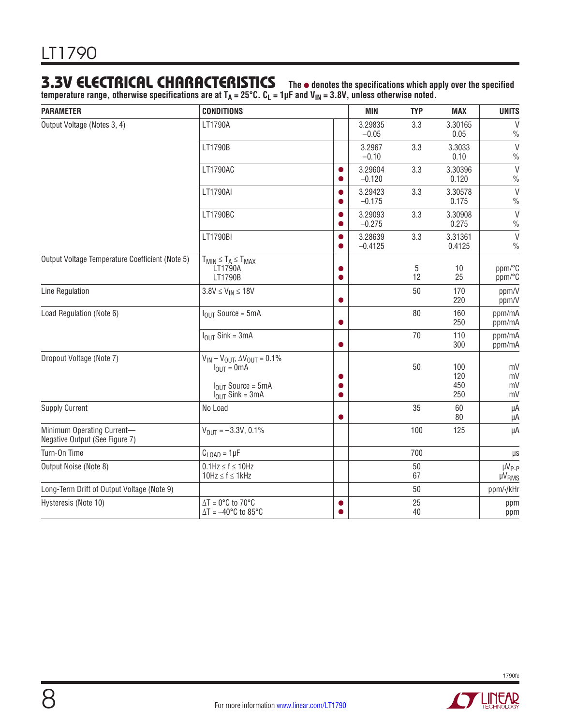#### **3.3V ELECTRICAL CHARACTERISTICS** The  $\bullet$  denotes the specifications which apply over the specified

**temperature range, otherwise specifications are at TA = 25°C. CL = 1µF and VIN = 3.8V, unless otherwise noted.**

| <b>PARAMETER</b>                                             | <b>CONDITIONS</b>                                                                                                                        |   | <b>MIN</b>           | <b>TYP</b> | MAX                      | <b>UNITS</b>                                 |
|--------------------------------------------------------------|------------------------------------------------------------------------------------------------------------------------------------------|---|----------------------|------------|--------------------------|----------------------------------------------|
| Output Voltage (Notes 3, 4)                                  | LT1790A                                                                                                                                  |   | 3.29835<br>$-0.05$   | 3.3        | 3.30165<br>0.05          | $\vee$<br>$\frac{0}{0}$                      |
|                                                              | LT1790B                                                                                                                                  |   | 3.2967<br>$-0.10$    | 3.3        | 3.3033<br>0.10           | $\vee$<br>$\frac{0}{0}$                      |
|                                                              | LT1790AC                                                                                                                                 |   | 3.29604<br>$-0.120$  | 3.3        | 3.30396<br>0.120         | $\vee$<br>$\frac{0}{0}$                      |
|                                                              | LT1790AI                                                                                                                                 |   | 3.29423<br>$-0.175$  | 3.3        | 3.30578<br>0.175         | $\vee$<br>$\frac{0}{0}$                      |
|                                                              | LT1790BC                                                                                                                                 |   | 3.29093<br>$-0.275$  | 3.3        | 3.30908<br>0.275         | $\vee$<br>$\frac{0}{0}$                      |
|                                                              | LT1790BI                                                                                                                                 | 0 | 3.28639<br>$-0.4125$ | 3.3        | 3.31361<br>0.4125        | $\vee$<br>$\frac{0}{0}$                      |
| Output Voltage Temperature Coefficient (Note 5)              | $T_{MIN} \leq T_A \leq T_{MAX}$<br>LT1790A<br>LT1790B                                                                                    |   |                      | 5<br>12    | 10<br>25                 | ppm/°C<br>ppm/°C                             |
| Line Regulation                                              | $3.8V \leq V_{IN} \leq 18V$                                                                                                              |   |                      | 50         | 170<br>220               | ppm/V<br>ppm/V                               |
| Load Regulation (Note 6)                                     | $IOUT Source = 5mA$                                                                                                                      |   |                      | 80         | 160<br>250               | ppm/mA<br>ppm/mA                             |
|                                                              | $I_{OUT}$ Sink = 3mA                                                                                                                     |   |                      | 70         | 110<br>300               | ppm/mA<br>ppm/mA                             |
| Dropout Voltage (Note 7)                                     | $V_{IN} - V_{OUT}$ , $\Delta V_{OUT} = 0.1\%$<br>$I_{\text{OUT}} = 0 \text{mA}$<br>$I_{OUT}$ Source = 5mA<br>$I_{\text{OUT}}$ Sink = 3mA |   |                      | 50         | 100<br>120<br>450<br>250 | mV<br>mV<br>mV<br>mV                         |
| <b>Supply Current</b>                                        | No Load                                                                                                                                  |   |                      | 35         | 60<br>80                 | μA<br>μA                                     |
| Minimum Operating Current-<br>Negative Output (See Figure 7) | $V_{\text{OUT}} = -3.3V, 0.1\%$                                                                                                          |   |                      | 100        | 125                      | μA                                           |
| Turn-On Time                                                 | $C_{\text{LOAD}} = 1 \mu F$                                                                                                              |   |                      | 700        |                          | $\mu s$                                      |
| Output Noise (Note 8)                                        | $0.1$ Hz $\leq f \leq 10$ Hz<br>$10Hz \le f \le 1kHz$                                                                                    |   |                      | 50<br>67   |                          | µV <sub>P-P</sub><br><b>µV<sub>RMS</sub></b> |
| Long-Term Drift of Output Voltage (Note 9)                   |                                                                                                                                          |   |                      | 50         |                          | ppm/ $\sqrt{k}$ Hr                           |
| Hysteresis (Note 10)                                         | $\Delta T = 0$ °C to 70°C<br>$\Delta T = -40^{\circ}$ C to 85°C                                                                          |   |                      | 25<br>40   |                          | ppm<br>ppm                                   |

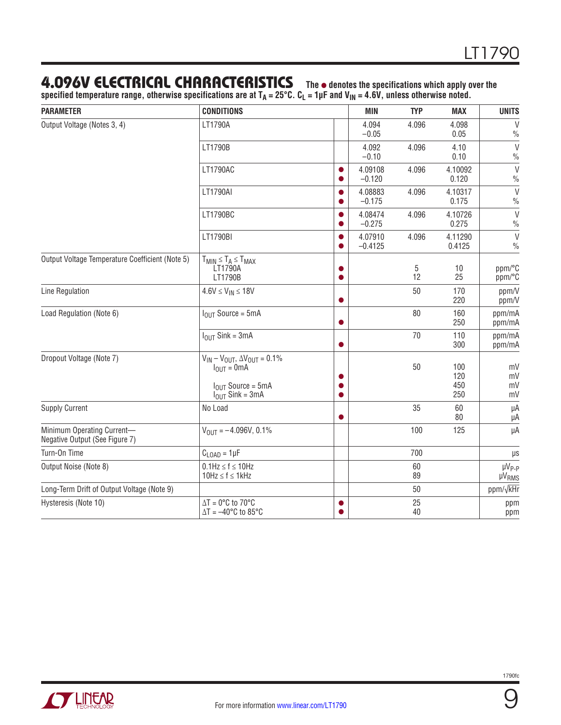#### 4.096V ELECTRICAL CHARACTERISTICS The  $\bullet$  denotes the specifications which apply over the

**specified temperature range, otherwise specifications are at TA = 25°C. CL = 1µF and VIN = 4.6V, unless otherwise noted.**

| <b>PARAMETER</b>                                             | <b>CONDITIONS</b>                                                                                                       |           | <b>MIN</b>           | <b>TYP</b> | <b>MAX</b>               | <b>UNITS</b>                      |
|--------------------------------------------------------------|-------------------------------------------------------------------------------------------------------------------------|-----------|----------------------|------------|--------------------------|-----------------------------------|
| Output Voltage (Notes 3, 4)                                  | LT1790A                                                                                                                 |           | 4.094<br>$-0.05$     | 4.096      | 4.098<br>0.05            | $\vee$<br>$\frac{0}{0}$           |
|                                                              | LT1790B                                                                                                                 |           | 4.092<br>$-0.10$     | 4.096      | 4.10<br>0.10             | $\vee$<br>$\frac{0}{0}$           |
|                                                              | LT1790AC                                                                                                                |           | 4.09108<br>$-0.120$  | 4.096      | 4.10092<br>0.120         | $\vee$<br>$\frac{0}{0}$           |
|                                                              | LT1790AI                                                                                                                |           | 4.08883<br>$-0.175$  | 4.096      | 4.10317<br>0.175         | $\vee$<br>$\frac{0}{0}$           |
|                                                              | LT1790BC                                                                                                                |           | 4.08474<br>$-0.275$  | 4.096      | 4.10726<br>0.275         | $\vee$<br>$\frac{0}{0}$           |
|                                                              | LT1790BI                                                                                                                |           | 4.07910<br>$-0.4125$ | 4.096      | 4.11290<br>0.4125        | $\vee$<br>$\frac{0}{0}$           |
| Output Voltage Temperature Coefficient (Note 5)              | $T_{MIN} \leq T_A \leq T_{MAX}$<br>LT1790A<br>LT1790B                                                                   |           |                      | 5<br>12    | 10<br>25                 | ppm/°C<br>ppm/°C                  |
| Line Regulation                                              | $4.6V \le V_{IN} \le 18V$                                                                                               | 0         |                      | 50         | 170<br>220               | ppm/V<br>ppm/V                    |
| Load Regulation (Note 6)                                     | $IOUT Source = 5mA$                                                                                                     | $\bullet$ |                      | 80         | 160<br>250               | ppm/mA<br>ppm/mA                  |
|                                                              | $I_{OUT}$ Sink = 3mA                                                                                                    | $\bullet$ |                      | 70         | 110<br>300               | ppm/mA<br>ppm/mA                  |
| Dropout Voltage (Note 7)                                     | $V_{IN} - V_{OUT}$ , $\Delta V_{OUT} = 0.1\%$<br>$I_{OUT} = 0mA$<br>$IOIII Source = 5mA$<br>$I_{\text{OUT}}$ Sink = 3mA |           |                      | 50         | 100<br>120<br>450<br>250 | mV<br>mV<br>mV<br>mV              |
| <b>Supply Current</b>                                        | No Load                                                                                                                 | 0         |                      | 35         | 60<br>80                 | μA<br>μA                          |
| Minimum Operating Current-<br>Negative Output (See Figure 7) | $V_{\text{OUT}} = -4.096V, 0.1\%$                                                                                       |           |                      | 100        | 125                      | μA                                |
| Turn-On Time                                                 | $C_{\text{LOAD}} = 1 \mu F$                                                                                             |           |                      | 700        |                          | $\mu s$                           |
| Output Noise (Note 8)                                        | $0.1$ Hz $\leq$ f $\leq$ 10Hz<br>$10Hz \le f \le 1kHz$                                                                  |           |                      | 60<br>89   |                          | µV <sub>P-P</sub><br><b>µVRMS</b> |
| Long-Term Drift of Output Voltage (Note 9)                   |                                                                                                                         |           |                      | 50         |                          | ppm/ $\sqrt{k}$ Hr                |
| Hysteresis (Note 10)                                         | $\Delta T = 0$ °C to 70°C<br>$\Delta T = -40^{\circ}C$ to 85°C                                                          | ●         |                      | 25<br>40   |                          | ppm<br>ppm                        |

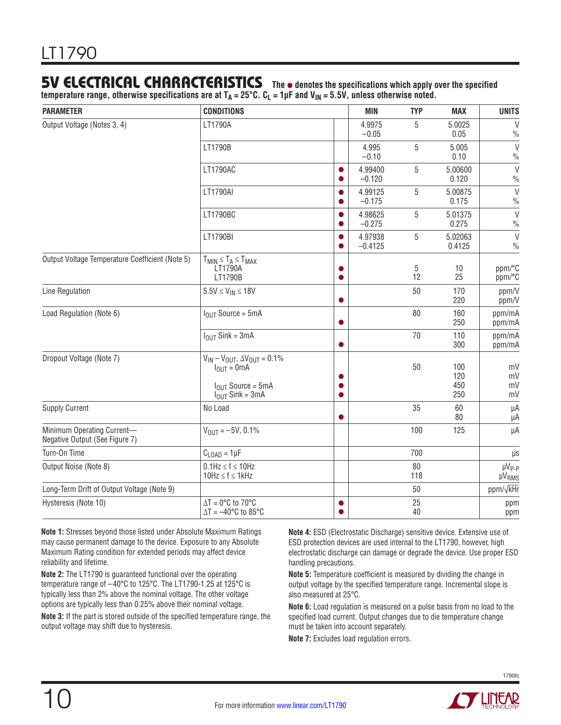### **5V ELECTRICAL CHARACTERISTICS** The  $\bullet$  denotes the specifications which apply over the specified

**temperature range, otherwise specifications are at TA = 25°C. CL = 1µF and VIN = 5.5V, unless otherwise noted.**

| <b>PARAMETER</b>                                             | <b>CONDITIONS</b>                                                                                                               | <b>MIN</b>           | <b>TYP</b> | <b>MAX</b>               | <b>UNITS</b>                      |
|--------------------------------------------------------------|---------------------------------------------------------------------------------------------------------------------------------|----------------------|------------|--------------------------|-----------------------------------|
| Output Voltage (Notes 3, 4)                                  | LT1790A                                                                                                                         | 4.9975<br>$-0.05$    | 5          | 5.0025<br>0.05           | $\vee$<br>$\frac{0}{0}$           |
|                                                              | LT1790B                                                                                                                         | 4.995<br>$-0.10$     | 5          | 5.005<br>0.10            | $\vee$<br>$\frac{0}{0}$           |
|                                                              | LT1790AC                                                                                                                        | 4.99400<br>$-0.120$  | 5          | 5.00600<br>0.120         | $\vee$<br>$\%$                    |
|                                                              | LT1790AI                                                                                                                        | 4.99125<br>$-0.175$  | 5          | 5.00875<br>0.175         | $\vee$<br>$\frac{0}{0}$           |
|                                                              | LT1790BC                                                                                                                        | 4.98625<br>$-0.275$  | 5          | 5.01375<br>0.275         | $\vee$<br>$\frac{0}{0}$           |
|                                                              | LT1790BI                                                                                                                        | 4.97938<br>$-0.4125$ | 5          | 5.02063<br>0.4125        | $\vee$<br>$\frac{0}{0}$           |
| Output Voltage Temperature Coefficient (Note 5)              | $T_{MIN} \leq T_A \leq T_{MAX}$<br>LT1790A<br>LT1790B                                                                           |                      | 5<br>12    | 10<br>25                 | ppm/°C<br>ppm/°C                  |
| Line Regulation                                              | $5.5V \leq V_{IN} \leq 18V$                                                                                                     |                      | 50         | 170<br>220               | ppm/V<br>ppm/V                    |
| Load Regulation (Note 6)                                     | $IOIII Source = 5mA$                                                                                                            |                      | 80         | 160<br>250               | ppm/mA<br>ppm/mA                  |
|                                                              | $I_{OIII}$ Sink = 3mA                                                                                                           |                      | 70         | 110<br>300               | ppm/mA<br>ppm/mA                  |
| Dropout Voltage (Note 7)                                     | $V_{IN} - V_{OUT}$ , $\Delta V_{OUT} = 0.1\%$<br>$I_{\text{OUT}} = 0 \text{mA}$<br>$IOIII Source = 5mA$<br>$I_{OUT}$ Sink = 3mA |                      | 50         | 100<br>120<br>450<br>250 | mV<br>mV<br>mV<br>mV              |
| <b>Supply Current</b>                                        | No Load                                                                                                                         |                      | 35         | 60<br>80                 | μA<br>μA                          |
| Minimum Operating Current-<br>Negative Output (See Figure 7) | $V_{\text{OUT}} = -5V, 0.1\%$                                                                                                   |                      | 100        | 125                      | μA                                |
| Turn-On Time                                                 | $C_{\text{LOAD}} = 1 \mu F$                                                                                                     |                      | 700        |                          | $\mu$ s                           |
| Output Noise (Note 8)                                        | $0.1$ Hz $\leq$ f $\leq$ 10Hz<br>$10Hz \le f \le 1kHz$                                                                          |                      | 80<br>118  |                          | µV <sub>P-P</sub><br><b>µVRMS</b> |
| Long-Term Drift of Output Voltage (Note 9)                   |                                                                                                                                 |                      | 50         |                          | ppm/ $\sqrt{k}$ Hr                |
| Hysteresis (Note 10)                                         | $\Delta T = 0$ °C to 70°C<br>$\Delta T = -40^{\circ}C$ to 85°C                                                                  |                      | 25<br>40   |                          | ppm<br>ppm                        |

**Note 1:** Stresses beyond those listed under Absolute Maximum Ratings may cause permanent damage to the device. Exposure to any Absolute Maximum Rating condition for extended periods may affect device reliability and lifetime.

**Note 2:** The LT1790 is guaranteed functional over the operating temperature range of –40°C to 125°C. The LT1790-1.25 at 125°C is typically less than 2% above the nominal voltage. The other voltage options are typically less than 0.25% above their nominal voltage.

10

**Note 3:** If the part is stored outside of the specified temperature range, the output voltage may shift due to hysteresis.

**Note 4:** ESD (Electrostatic Discharge) sensitive device. Extensive use of ESD protection devices are used internal to the LT1790, however, high electrostatic discharge can damage or degrade the device. Use proper ESD handling precautions.

**Note 5:** Temperature coefficient is measured by dividing the change in output voltage by the specified temperature range. Incremental slope is also measured at 25°C.

**Note 6:** Load regulation is measured on a pulse basis from no load to the specified load current. Output changes due to die temperature change must be taken into account separately.

**Note 7:** Excludes load regulation errors.

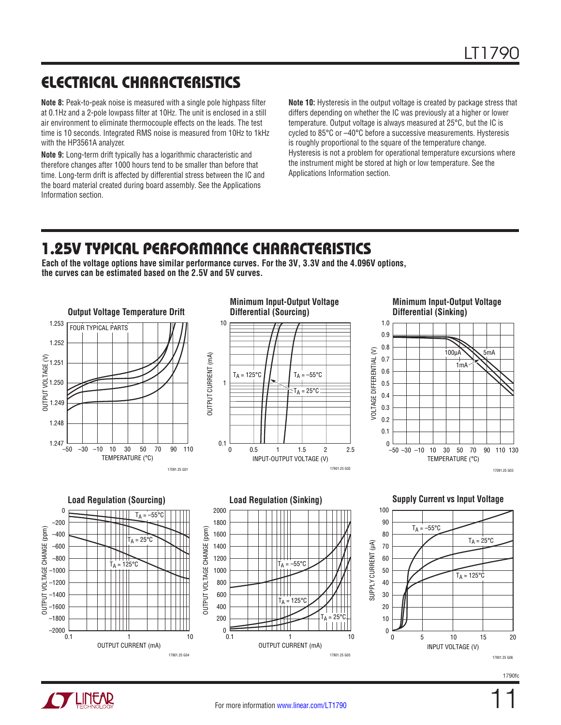# ELECTRICAL CHARACTERISTICS

**Note 8:** Peak-to-peak noise is measured with a single pole highpass filter at 0.1Hz and a 2-pole lowpass filter at 10Hz. The unit is enclosed in a still air environment to eliminate thermocouple effects on the leads. The test time is 10 seconds. Integrated RMS noise is measured from 10Hz to 1kHz with the HP3561A analyzer.

**Note 9:** Long-term drift typically has a logarithmic characteristic and therefore changes after 1000 hours tend to be smaller than before that time. Long-term drift is affected by differential stress between the IC and the board material created during board assembly. See the Applications Information section.

**Note 10:** Hysteresis in the output voltage is created by package stress that differs depending on whether the IC was previously at a higher or lower temperature. Output voltage is always measured at 25°C, but the IC is cycled to 85°C or –40°C before a successive measurements. Hysteresis is roughly proportional to the square of the temperature change. Hysteresis is not a problem for operational temperature excursions where the instrument might be stored at high or low temperature. See the Applications Information section.

# 1.25V TYPICAL PERFORMANCE CHARACTERISTICS

**Each of the voltage options have similar performance curves. For the 3V, 3.3V and the 4.096V options, the curves can be estimated based on the 2.5V and 5V curves.**



11

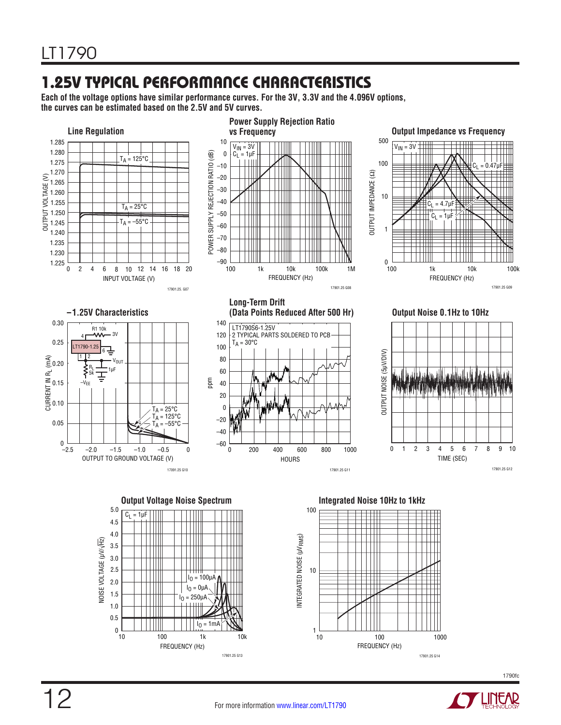# 1.25V TYPICAL PERFORMANCE CHARACTERISTICS

**Each of the voltage options have similar performance curves. For the 3V, 3.3V and the 4.096V options, the curves can be estimated based on the 2.5V and 5V curves.**







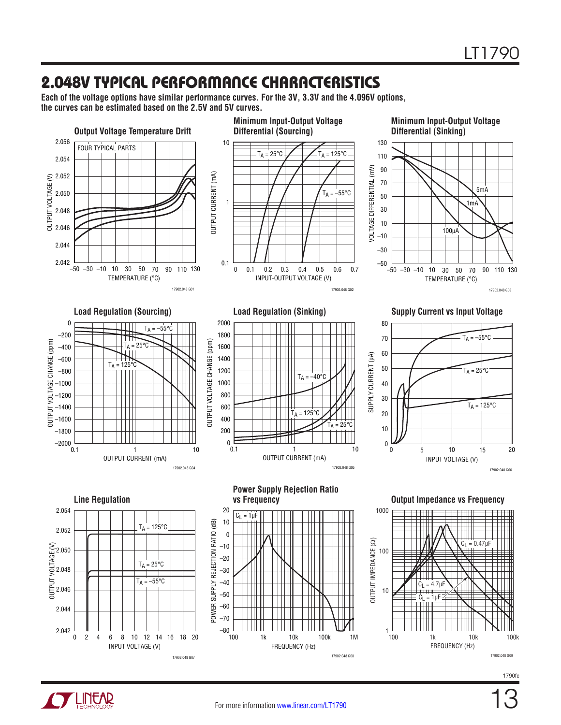### 2.048V TYPICAL PERFORMANCE CHARACTERISTICS

**Each of the voltage options have similar performance curves. For the 3V, 3.3V and the 4.096V options, the curves can be estimated based on the 2.5V and 5V curves.**





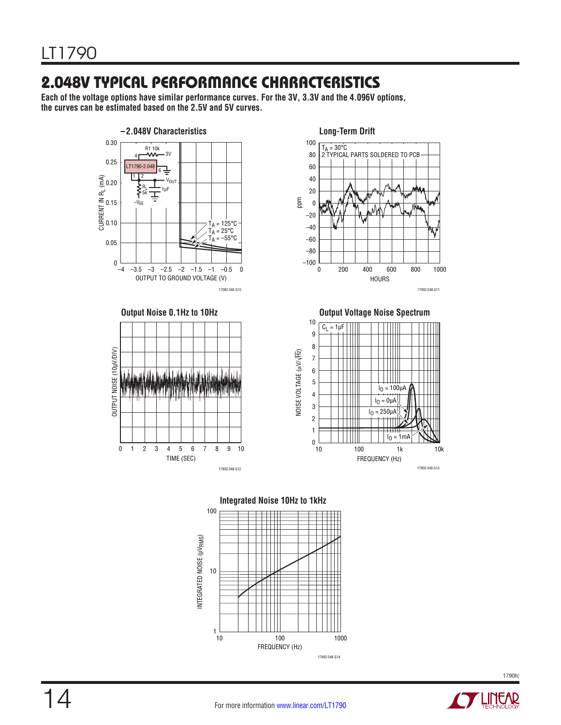### 2.048V TYPICAL PERFORMANCE CHARACTERISTICS

**Each of the voltage options have similar performance curves. For the 3V, 3.3V and the 4.096V options, the curves can be estimated based on the 2.5V and 5V curves.**











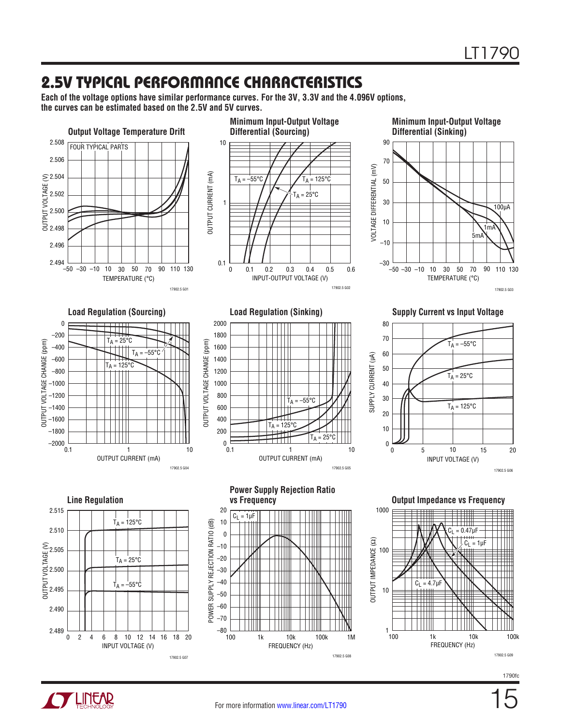### 2.5V TYPICAL PERFORMANCE CHARACTERISTICS

**Each of the voltage options have similar performance curves. For the 3V, 3.3V and the 4.096V options, the curves can be estimated based on the 2.5V and 5V curves.**





INPUT VOLTAGE (V)

17902.5 G07

FREQUENCY (Hz)

17902.5 G08

15

17902.5 G09

FREQUENCY (Hz)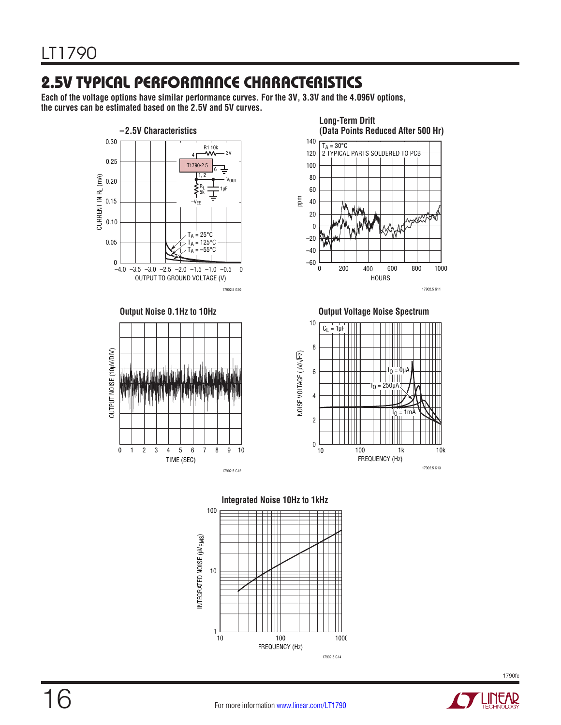# 2.5V TYPICAL PERFORMANCE CHARACTERISTICS

**Each of the voltage options have similar performance curves. For the 3V, 3.3V and the 4.096V options, the curves can be estimated based on the 2.5V and 5V curves.**







**Output Noise 0.1Hz to 10Hz COULD 100 COULD 100 COULD 100 COULD 100 COULD 100 COULD 100 COULD 100 COULD 100 COULD 100 COULD 100 COULD 100 COULD 100 COULD 100 COULD 100 COULD 100 COULD 100 COULD 100 COULD 100 COULD 100 CO** 







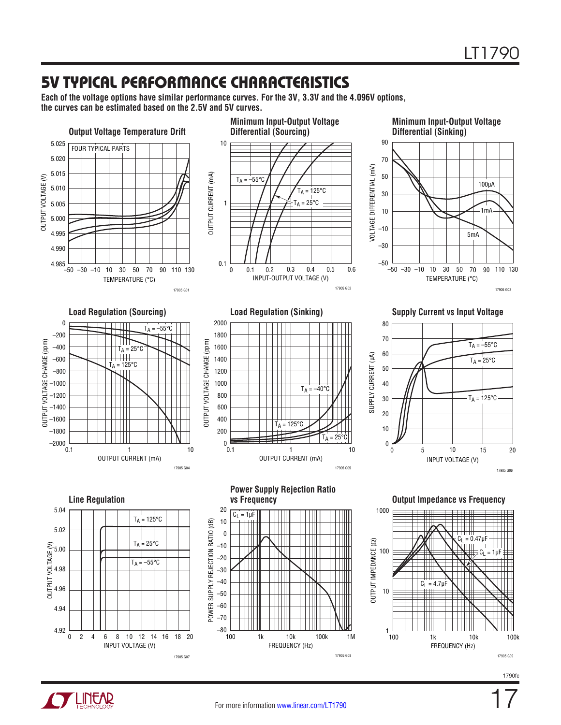### 5V TYPICAL PERFORMANCE CHARACTERISTICS

**Each of the voltage options have similar performance curves. For the 3V, 3.3V and the 4.096V options, the curves can be estimated based on the 2.5V and 5V curves.**



1790fc



17905 G07

17905 G08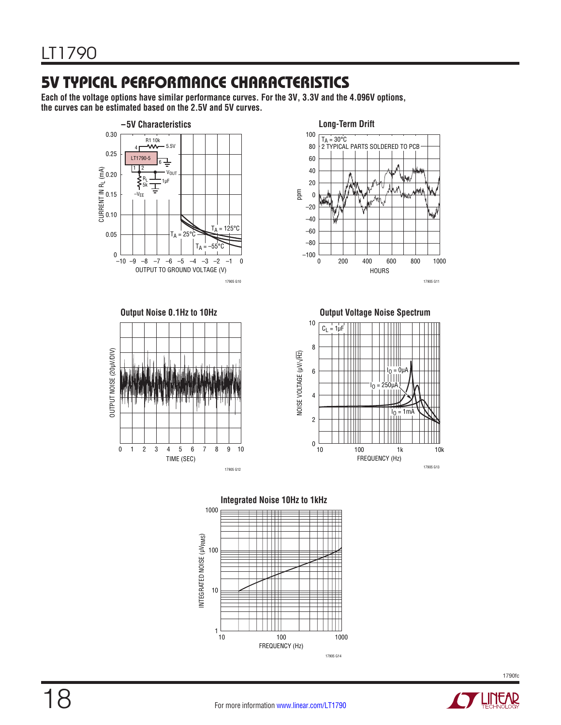## 5V TYPICAL PERFORMANCE CHARACTERISTICS

**Each of the voltage options have similar performance curves. For the 3V, 3.3V and the 4.096V options, the curves can be estimated based on the 2.5V and 5V curves.**







**Output Noise 0.1Hz to 10Hz COVERTY SUMPLE SETTED SETTED SPECTREM** 





**Integrated Noise 10Hz to 1kHz**

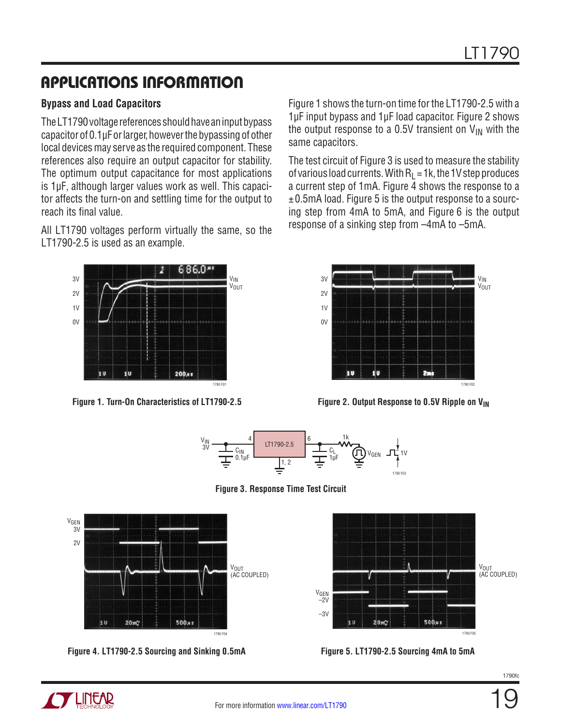#### **Bypass and Load Capacitors**

The LT1790 voltage references should have an input bypass capacitor of 0.1µF or larger, however the bypassing of other local devices may serve as the required component. These references also require an output capacitor for stability. The optimum output capacitance for most applications is 1µF, although larger values work as well. This capacitor affects the turn-on and settling time for the output to reach its final value.

All LT1790 voltages perform virtually the same, so the LT1790-2.5 is used as an example.



Figure 1 shows the turn-on time for the LT1790-2.5 with a 1µF input bypass and 1µF load capacitor. Figure 2 shows the output response to a 0.5V transient on  $V_{IN}$  with the same capacitors.

The test circuit of Figure 3 is used to measure the stability of various load currents. With  $R_1 = 1k$ , the 1V step produces a current step of 1mA. Figure  $\overline{4}$  shows the response to a ±0.5mA load. Figure 5 is the output response to a sourcing step from 4mA to 5mA, and Figure 6 is the output response of a sinking step from –4mA to –5mA.



**Figure 1. Turn-On Characteristics of LT1790-2.5 Figure 2. Output Response to 0.5V Ripple on VIN**



**Figure 3. Response Time Test Circuit**



**Figure 4. LT1790-2.5 Sourcing and Sinking 0.5mA Figure 5. LT1790-2.5 Sourcing 4mA to 5mA**





19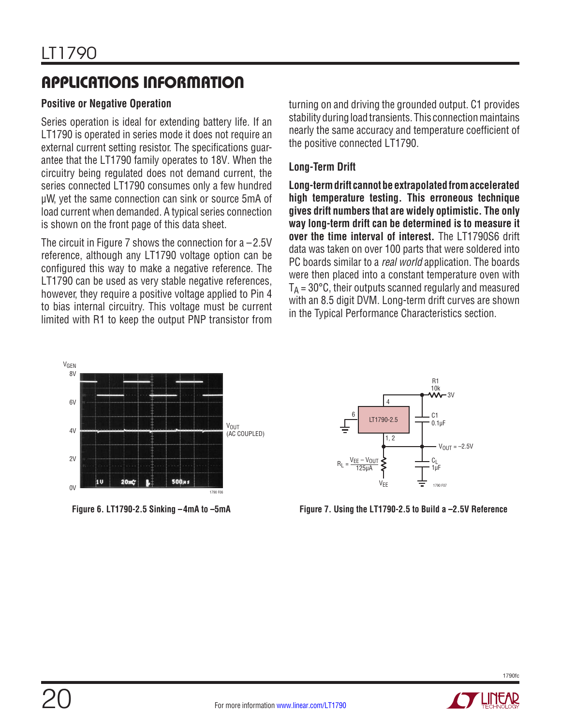#### **Positive or Negative Operation**

Series operation is ideal for extending battery life. If an LT1790 is operated in series mode it does not require an external current setting resistor. The specifications guarantee that the LT1790 family operates to 18V. When the circuitry being regulated does not demand current, the series connected LT1790 consumes only a few hundred µW, yet the same connection can sink or source 5mA of load current when demanded. A typical series connection is shown on the front page of this data sheet.

The circuit in Figure 7 shows the connection for  $a - 2.5V$ reference, although any LT1790 voltage option can be configured this way to make a negative reference. The LT1790 can be used as very stable negative references, however, they require a positive voltage applied to Pin 4 to bias internal circuitry. This voltage must be current limited with R1 to keep the output PNP transistor from turning on and driving the grounded output. C1 provides stability during load transients. This connection maintains nearly the same accuracy and temperature coefficient of the positive connected LT1790.

#### **Long-Term Drift**

**Long-term drift cannot be extrapolated from accelerated high temperature testing. This erroneous technique gives drift numbers that are widely optimistic. The only way long-term drift can be determined is to measure it over the time interval of interest.** The LT1790S6 drift data was taken on over 100 parts that were soldered into PC boards similar to a *real world* application. The boards were then placed into a constant temperature oven with  $T_A = 30^{\circ}$ C, their outputs scanned regularly and measured with an 8.5 digit DVM. Long-term drift curves are shown in the Typical Performance Characteristics section.



**Figure 6. LT1790-2.5 Sinking –4mA to –5mA**



**Figure 7. Using the LT1790-2.5 to Build a –2.5V Reference**

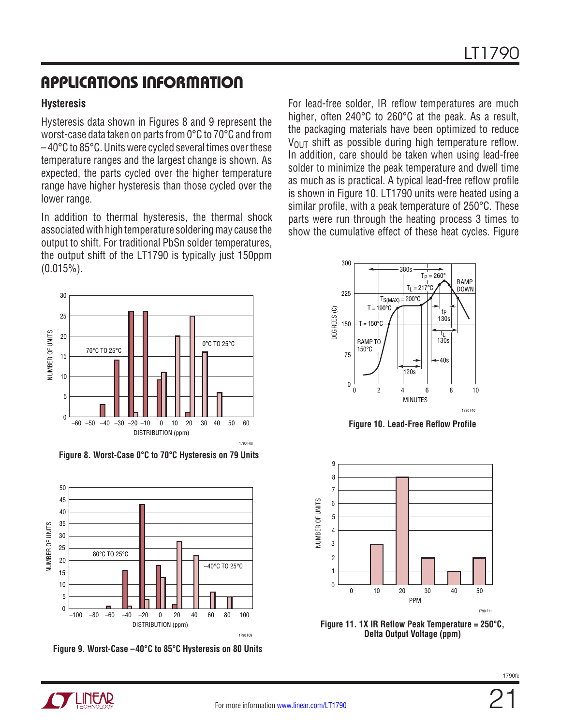#### **Hysteresis**

Hysteresis data shown in Figures 8 and 9 represent the worst-case data taken on parts from 0°C to 70°C and from –40°C to 85°C. Units were cycled several times over these temperature ranges and the largest change is shown. As expected, the parts cycled over the higher temperature range have higher hysteresis than those cycled over the lower range.

In addition to thermal hysteresis, the thermal shock associated with high temperature soldering may cause the output to shift. For traditional PbSn solder temperatures, the output shift of the LT1790 is typically just 150ppm (0.015%).



**Figure 8. Worst-Case 0°C to 70°C Hysteresis on 79 Units**



**Figure 9. Worst-Case –40°C to 85°C Hysteresis on 80 Units**

For lead-free solder, IR reflow temperatures are much higher, often 240°C to 260°C at the peak. As a result, the packaging materials have been optimized to reduce  $V_{\text{OUT}}$  shift as possible during high temperature reflow. In addition, care should be taken when using lead-free solder to minimize the peak temperature and dwell time as much as is practical. A typical lead-free reflow profile is shown in Figure 10. LT1790 units were heated using a similar profile, with a peak temperature of 250°C. These parts were run through the heating process 3 times to show the cumulative effect of these heat cycles. Figure



**Figure 10. Lead-Free Reflow Profile**





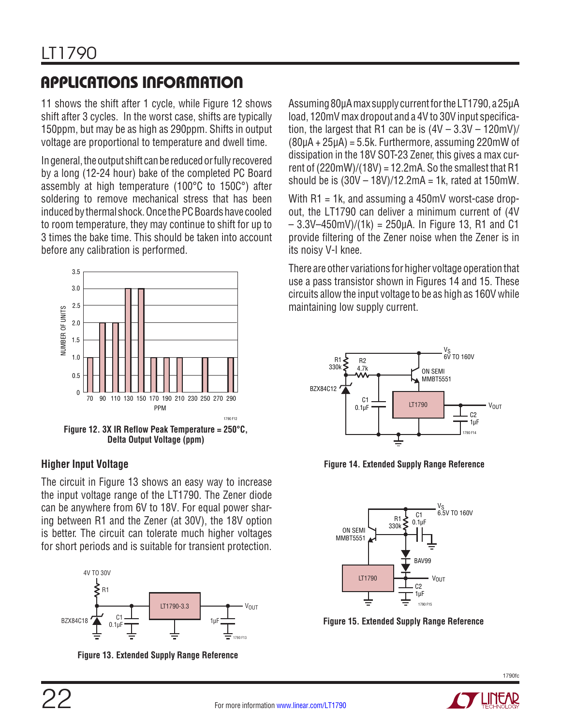11 shows the shift after 1 cycle, while Figure 12 shows shift after 3 cycles. In the worst case, shifts are typically 150ppm, but may be as high as 290ppm. Shifts in output voltage are proportional to temperature and dwell time.

In general, the output shift can be reduced or fully recovered by a long (12-24 hour) bake of the completed PC Board assembly at high temperature (100°C to 150C°) after soldering to remove mechanical stress that has been induced by thermal shock. Once the PC Boards have cooled to room temperature, they may continue to shift for up to 3 times the bake time. This should be taken into account before any calibration is performed.



**Delta Output Voltage (ppm)**

#### **Higher Input Voltage**

The circuit in Figure 13 shows an easy way to increase the input voltage range of the LT1790. The Zener diode can be anywhere from 6V to 18V. For equal power sharing between R1 and the Zener (at 30V), the 18V option is better. The circuit can tolerate much higher voltages for short periods and is suitable for transient protection.



**Figure 13. Extended Supply Range Reference**

Assuming 80µA max supply current for the LT1790, a 25µA load, 120mV max dropout and a 4V to 30V input specification, the largest that R1 can be is  $(4V - 3.3V - 120mV)/$ (80µA + 25µA) = 5.5k. Furthermore, assuming 220mW of dissipation in the 18V SOT-23 Zener, this gives a max current of  $(220mW)/(18V) = 12.2mA$ . So the smallest that R1 should be is  $(30V - 18V)/12.2mA = 1k$ , rated at  $150mW$ .

With R1 = 1k, and assuming a 450mV worst-case dropout, the LT1790 can deliver a minimum current of (4V  $-3.3V-450mV)/(1k) = 250\mu A$ . In Figure 13, R1 and C1 provide filtering of the Zener noise when the Zener is in its noisy V-I knee.

There are other variations for higher voltage operation that use a pass transistor shown in Figures 14 and 15. These circuits allow the input voltage to be as high as 160V while maintaining low supply current.



**Figure 14. Extended Supply Range Reference**



**Figure 15. Extended Supply Range Reference**

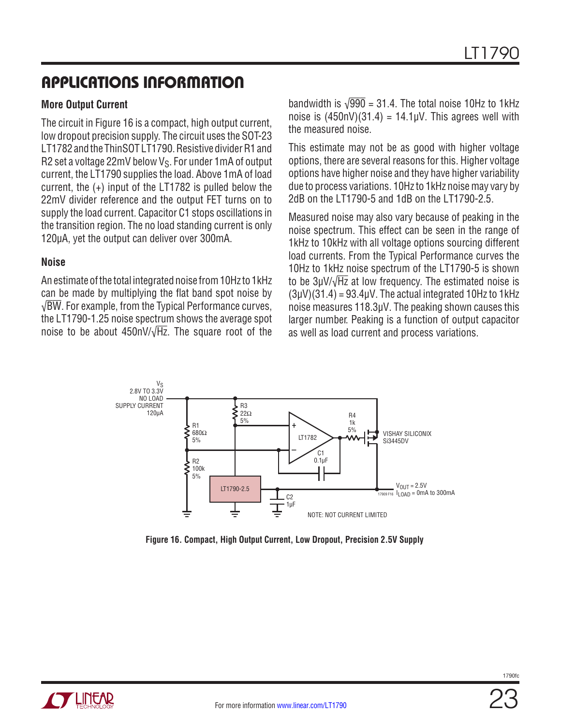#### **More Output Current**

The circuit in Figure 16 is a compact, high output current, low dropout precision supply. The circuit uses the SOT-23 LT1782 and the ThinSOT LT1790. Resistive divider R1 and R2 set a voltage 22mV below  $V_S$ . For under 1mA of output current, the LT1790 supplies the load. Above 1mA of load current, the (+) input of the LT1782 is pulled below the 22mV divider reference and the output FET turns on to supply the load current. Capacitor C1 stops oscillations in the transition region. The no load standing current is only 120µA, yet the output can deliver over 300mA.

#### **Noise**

An estimate of the total integrated noise from 10Hz to 1kHz can be made by multiplying the flat band spot noise by √BW. For example, from the Typical Performance curves, the LT1790-1.25 noise spectrum shows the average spot noise to be about 450nV/ $\sqrt{Hz}$ . The square root of the

bandwidth is  $\sqrt{990}$  = 31.4. The total noise 10Hz to 1kHz noise is  $(450nV)(31.4) = 14.1\mu V$ . This agrees well with the measured noise.

This estimate may not be as good with higher voltage options, there are several reasons for this. Higher voltage options have higher noise and they have higher variability due to process variations. 10Hz to 1kHz noise may vary by 2dB on the LT1790-5 and 1dB on the LT1790-2.5.

Measured noise may also vary because of peaking in the noise spectrum. This effect can be seen in the range of 1kHz to 10kHz with all voltage options sourcing different load currents. From the Typical Performance curves the 10Hz to 1kHz noise spectrum of the LT1790-5 is shown to be 3µV/√Hz at low frequency. The estimated noise is  $(3µV)(31.4) = 93.4µV$ . The actual integrated 10Hz to 1kHz noise measures 118.3µV. The peaking shown causes this larger number. Peaking is a function of output capacitor as well as load current and process variations.



**Figure 16. Compact, High Output Current, Low Dropout, Precision 2.5V Supply**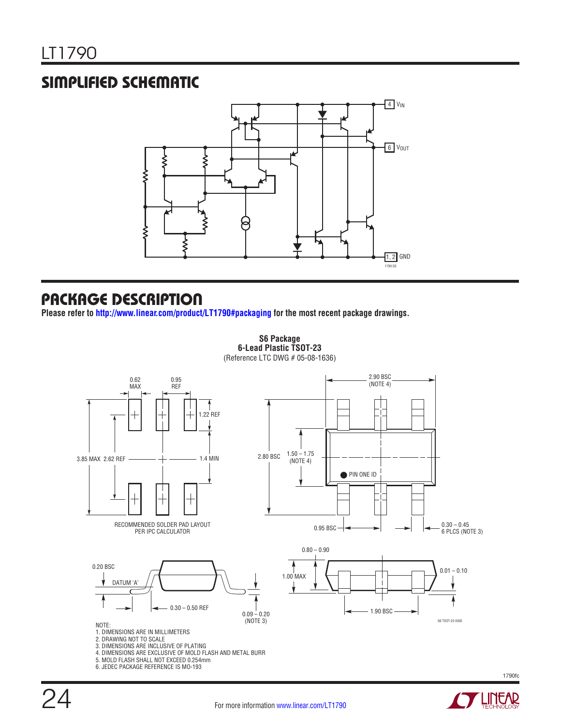### SIMPLIFIED SCHEMATIC



#### PACKAGE DESCRIPTION

**Please refer to <http://www.linear.com/product/LT1790#packaging> for the most recent package drawings.**

**S6 Package 6-Lead Plastic TSOT-23**

(Reference LTC DWG # 05-08-1636)



4. DIMENSIONS ARE EXCLUSIVE OF MOLD FLASH AND METAL BURR

- 5. MOLD FLASH SHALL NOT EXCEED 0.254mm
- 6. JEDEC PACKAGE REFERENCE IS MO-193

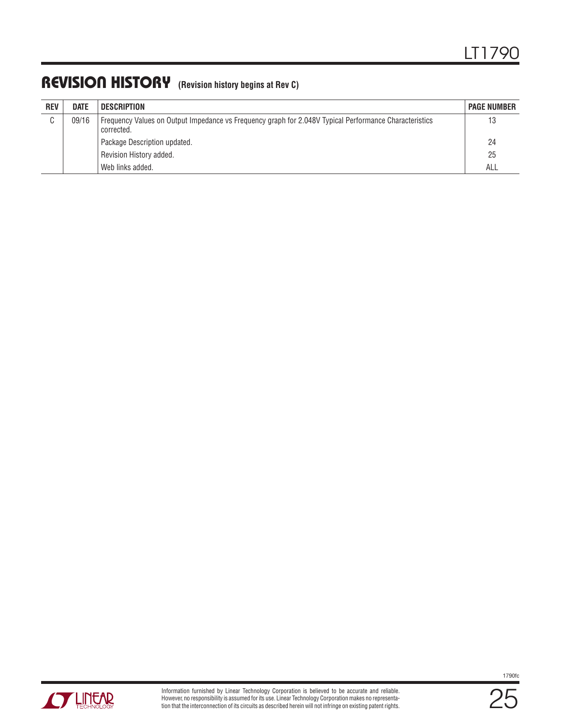### REVISION HISTORY **(Revision history begins at Rev C)**

| <b>REV</b> | <b>DATE</b> | <b>DESCRIPTION</b>                                                                                                     | <b>PAGE NUMBER</b> |
|------------|-------------|------------------------------------------------------------------------------------------------------------------------|--------------------|
| C          | 09/16       | Frequency Values on Output Impedance vs Frequency graph for 2.048V Typical Performance Characteristics<br>l corrected. | 13                 |
|            |             | Package Description updated.                                                                                           | -24                |
|            |             | Revision History added.                                                                                                | 25                 |
|            |             | Web links added.                                                                                                       | ALL                |